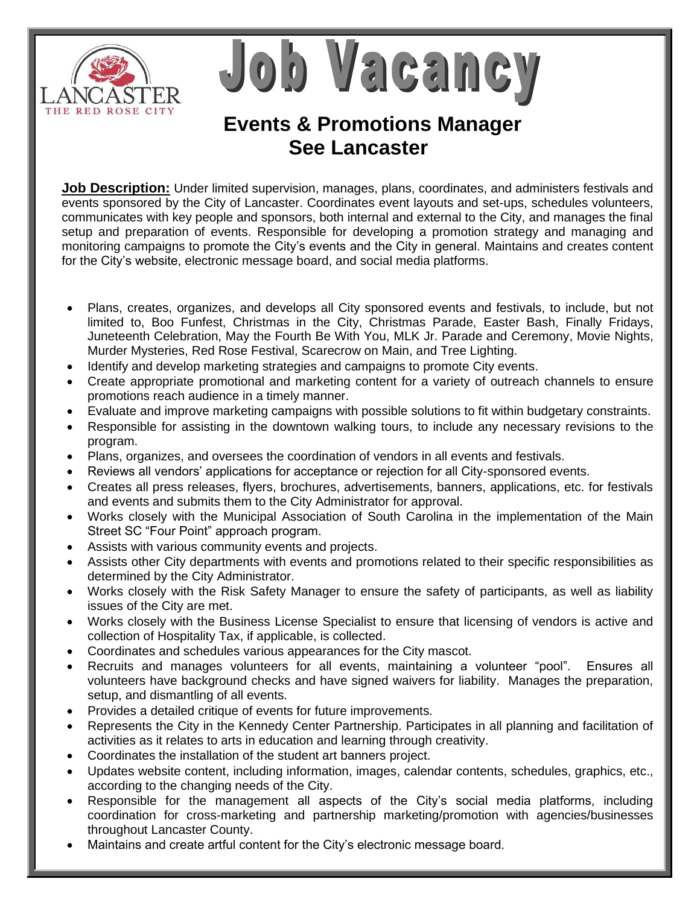

Job Vacancy

## **Events & Promotions Manager See Lancaster**

**Job Description:** Under limited supervision, manages, plans, coordinates, and administers festivals and events sponsored by the City of Lancaster. Coordinates event layouts and set-ups, schedules volunteers, communicates with key people and sponsors, both internal and external to the City, and manages the final setup and preparation of events. Responsible for developing a promotion strategy and managing and monitoring campaigns to promote the City's events and the City in general. Maintains and creates content for the City's website, electronic message board, and social media platforms.

- Plans, creates, organizes, and develops all City sponsored events and festivals, to include, but not limited to, Boo Funfest, Christmas in the City, Christmas Parade, Easter Bash, Finally Fridays, Juneteenth Celebration, May the Fourth Be With You, MLK Jr. Parade and Ceremony, Movie Nights, Murder Mysteries, Red Rose Festival, Scarecrow on Main, and Tree Lighting.
- Identify and develop marketing strategies and campaigns to promote City events.
- Create appropriate promotional and marketing content for a variety of outreach channels to ensure promotions reach audience in a timely manner.
- Evaluate and improve marketing campaigns with possible solutions to fit within budgetary constraints.
- Responsible for assisting in the downtown walking tours, to include any necessary revisions to the program.
- Plans, organizes, and oversees the coordination of vendors in all events and festivals.
- Reviews all vendors' applications for acceptance or rejection for all City-sponsored events.
- Creates all press releases, flyers, brochures, advertisements, banners, applications, etc. for festivals and events and submits them to the City Administrator for approval.
- Works closely with the Municipal Association of South Carolina in the implementation of the Main Street SC "Four Point" approach program.
- Assists with various community events and projects.
- Assists other City departments with events and promotions related to their specific responsibilities as determined by the City Administrator.
- Works closely with the Risk Safety Manager to ensure the safety of participants, as well as liability issues of the City are met.
- Works closely with the Business License Specialist to ensure that licensing of vendors is active and collection of Hospitality Tax, if applicable, is collected.
- Coordinates and schedules various appearances for the City mascot.
- Recruits and manages volunteers for all events, maintaining a volunteer "pool". Ensures all volunteers have background checks and have signed waivers for liability. Manages the preparation, setup, and dismantling of all events.
- Provides a detailed critique of events for future improvements.
- Represents the City in the Kennedy Center Partnership. Participates in all planning and facilitation of activities as it relates to arts in education and learning through creativity.
- Coordinates the installation of the student art banners project.
- Updates website content, including information, images, calendar contents, schedules, graphics, etc., according to the changing needs of the City.
- Responsible for the management all aspects of the City's social media platforms, including coordination for cross-marketing and partnership marketing/promotion with agencies/businesses throughout Lancaster County.
- Maintains and create artful content for the City's electronic message board.